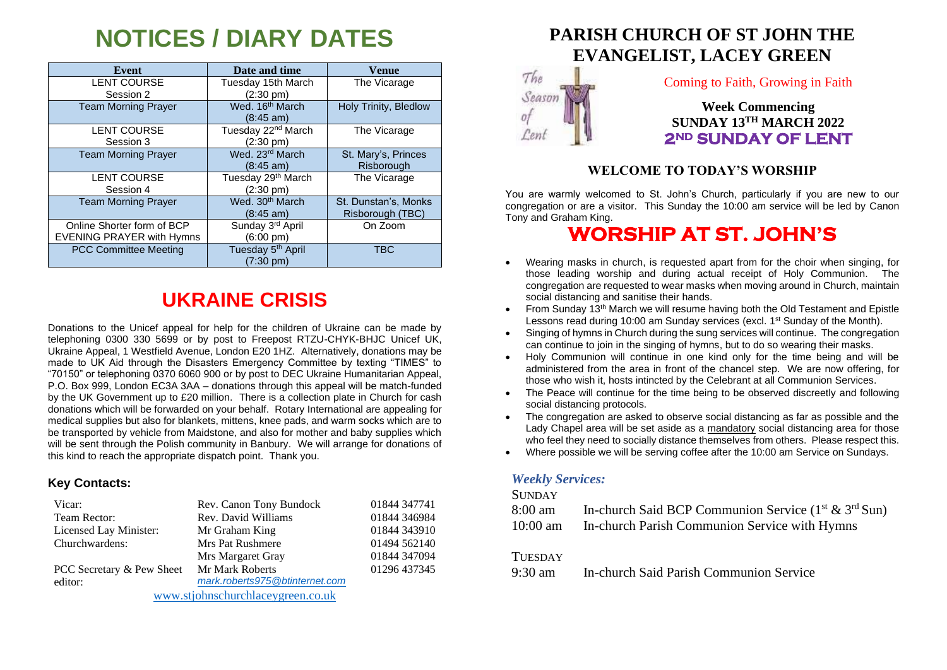# **NOTICES / DIARY DATES**

| Event                            | Date and time                  | Venue                 |
|----------------------------------|--------------------------------|-----------------------|
| <b>LENT COURSE</b>               | Tuesday 15th March             | The Vicarage          |
| Session 2                        | $(2:30 \text{ pm})$            |                       |
| <b>Team Morning Prayer</b>       | Wed. 16 <sup>th</sup> March    | Holy Trinity, Bledlow |
|                                  | $(8:45 \text{ am})$            |                       |
| <b>LENT COURSE</b>               | Tuesday 22 <sup>nd</sup> March | The Vicarage          |
| Session 3                        | (2:30 pm)                      |                       |
| <b>Team Morning Prayer</b>       | Wed. 23rd March                | St. Mary's, Princes   |
|                                  | $(8:45 \text{ am})$            | Risborough            |
| <b>LENT COURSE</b>               | Tuesday 29 <sup>th</sup> March | The Vicarage          |
| Session 4                        | $(2:30 \text{ pm})$            |                       |
| <b>Team Morning Prayer</b>       | Wed. 30 <sup>th</sup> March    | St. Dunstan's, Monks  |
|                                  | $(8:45 \text{ am})$            | Risborough (TBC)      |
| Online Shorter form of BCP       | Sunday 3rd April               | On Zoom               |
| <b>EVENING PRAYER with Hymns</b> | (6:00 pm)                      |                       |
| <b>PCC Committee Meeting</b>     | Tuesday 5 <sup>th</sup> April  | <b>TBC</b>            |
|                                  | $(7:30 \text{ pm})$            |                       |

## **UKRAINE CRISIS**

Donations to the Unicef appeal for help for the children of Ukraine can be made by telephoning 0300 330 5699 or by post to Freepost RTZU-CHYK-BHJC Unicef UK, Ukraine Appeal, 1 Westfield Avenue, London E20 1HZ. Alternatively, donations may be made to UK Aid through the Disasters Emergency Committee by texting "TIMES" to "70150" or telephoning 0370 6060 900 or by post to DEC Ukraine Humanitarian Appeal, P.O. Box 999, London EC3A 3AA – donations through this appeal will be match-funded by the UK Government up to £20 million. There is a collection plate in Church for cash donations which will be forwarded on your behalf. Rotary International are appealing for medical supplies but also for blankets, mittens, knee pads, and warm socks which are to be transported by vehicle from Maidstone, and also for mother and baby supplies which will be sent through the Polish community in Banbury. We will arrange for donations of this kind to reach the appropriate dispatch point. Thank you.

#### **Key Contacts:**

| Vicar:                            | Rev. Canon Tony Bundock        | 01844 347741 |
|-----------------------------------|--------------------------------|--------------|
| Team Rector:                      | Rev. David Williams            | 01844 346984 |
| Licensed Lay Minister:            | Mr Graham King                 | 01844 343910 |
| Churchwardens:                    | <b>Mrs Pat Rushmere</b>        | 01494 562140 |
|                                   | Mrs Margaret Gray              | 01844 347094 |
| PCC Secretary & Pew Sheet         | Mr Mark Roberts                | 01296 437345 |
| editor:                           | mark.roberts975@btinternet.com |              |
| www.stjohnschurchlaceygreen.co.uk |                                |              |

## **PARISH CHURCH OF ST JOHN THE EVANGELIST, LACEY GREEN**



### Coming to Faith, Growing in Faith

**Week Commencing SUNDAY 13TH MARCH 2022 2ND SUNDAY OF LENT** 

## **WELCOME TO TODAY'S WORSHIP**

You are warmly welcomed to St. John's Church, particularly if you are new to our congregation or are a visitor. This Sunday the 10:00 am service will be led by Canon Tony and Graham King.

## **WORSHIP AT ST. JOHN'S**

- Wearing masks in church, is requested apart from for the choir when singing, for those leading worship and during actual receipt of Holy Communion. The congregation are requested to wear masks when moving around in Church, maintain social distancing and sanitise their hands.
- From Sunday 13<sup>th</sup> March we will resume having both the Old Testament and Epistle Lessons read during 10:00 am Sunday services (excl. 1<sup>st</sup> Sunday of the Month).
- Singing of hymns in Church during the sung services will continue. The congregation can continue to join in the singing of hymns, but to do so wearing their masks.
- Holy Communion will continue in one kind only for the time being and will be administered from the area in front of the chancel step. We are now offering, for those who wish it, hosts intincted by the Celebrant at all Communion Services.
- The Peace will continue for the time being to be observed discreetly and following social distancing protocols.
- The congregation are asked to observe social distancing as far as possible and the Lady Chapel area will be set aside as a mandatory social distancing area for those who feel they need to socially distance themselves from others. Please respect this.
- Where possible we will be serving coffee after the 10:00 am Service on Sundays.

### *Weekly Services:*

#### **SUNDAY**

| 8:00 am    | In-church Said BCP Communion Service $(1st \& 3rd Sun)$ |
|------------|---------------------------------------------------------|
| $10:00$ am | In-church Parish Communion Service with Hymns           |
| TUESDAY    |                                                         |

9:30 am In-church Said Parish Communion Service